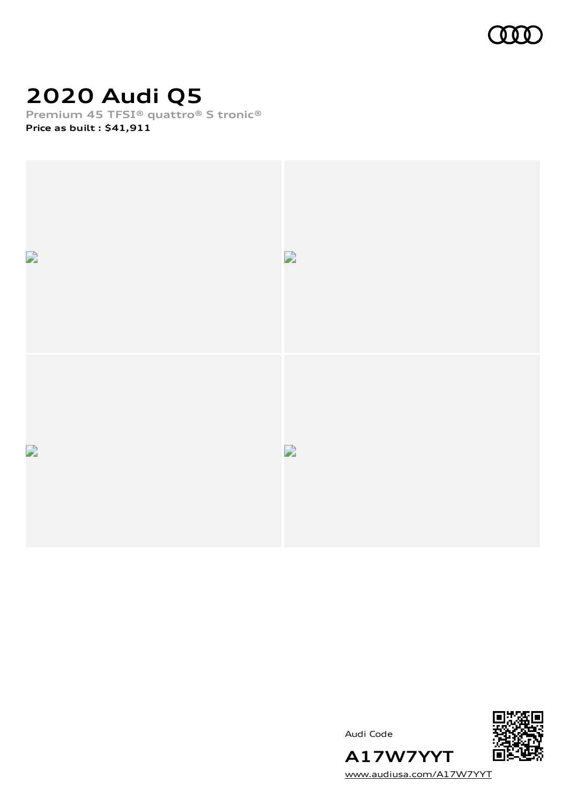

# **2020 Audi Q5**

**Premium 45 TFSI® quattro® S tronic® Price as built [:](#page-8-0) \$41,911**



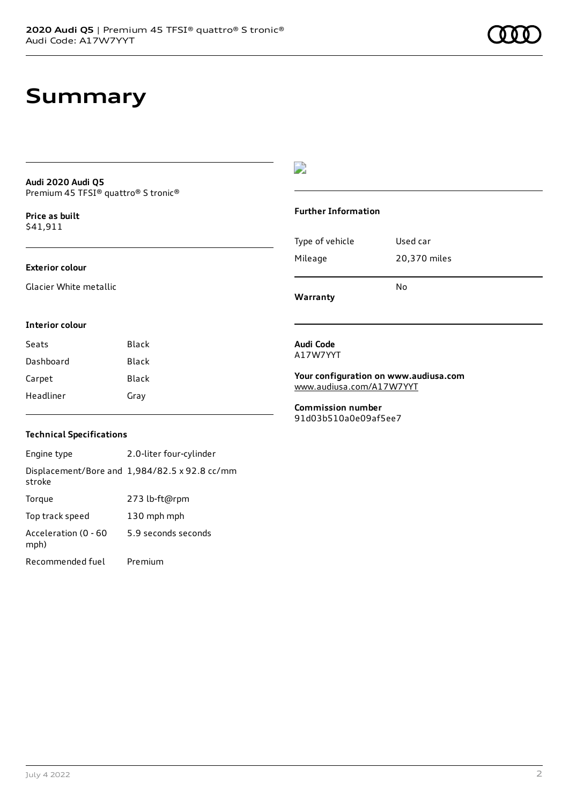## **Summary**

### **Audi 2020 Audi Q5** Premium 45 TFSI® quattro® S tronic®

**Price as buil[t](#page-8-0)** \$41,911

## **Exterior colour**

Glacier White metallic

## D

## **Further Information**

| Warranty        | N٥           |
|-----------------|--------------|
| Mileage         | 20,370 miles |
| Type of vehicle | Used car     |

### **Interior colour**

| Seats     | Black |
|-----------|-------|
| Dashboard | Black |
| Carpet    | Black |
| Headliner | Gray  |

### **Audi Code** A17W7YYT

**Your configuration on www.audiusa.com** [www.audiusa.com/A17W7YYT](https://www.audiusa.com/A17W7YYT)

**Commission number** 91d03b510a0e09af5ee7

## **Technical Specifications**

Engine type 2.0-liter four-cylinder Displacement/Bore and 1,984/82.5 x 92.8 cc/mm stroke Torque 273 lb-ft@rpm Top track speed 130 mph mph Acceleration (0 - 60 mph) 5.9 seconds seconds Recommended fuel Premium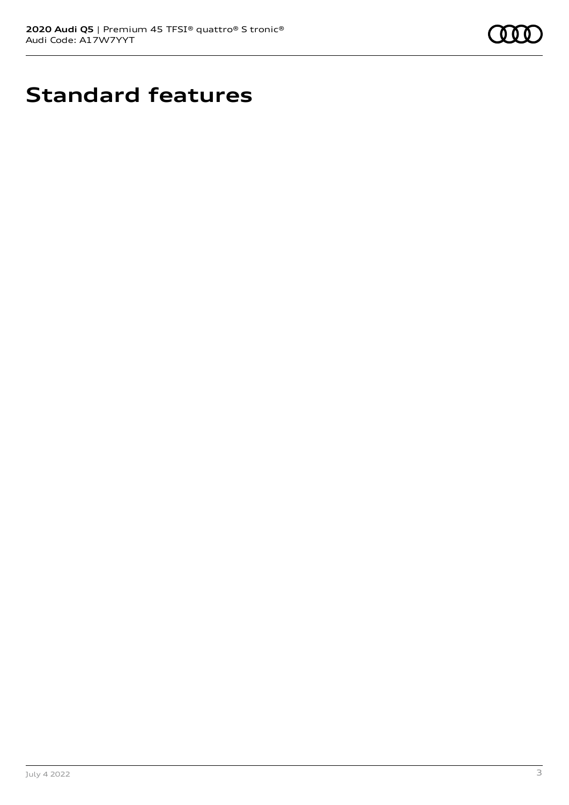

# **Standard features**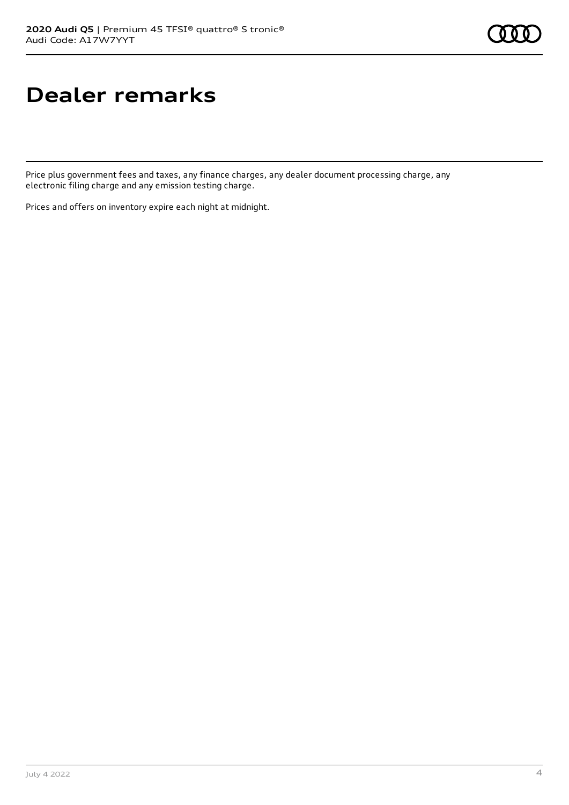# **Dealer remarks**

Price plus government fees and taxes, any finance charges, any dealer document processing charge, any electronic filing charge and any emission testing charge.

Prices and offers on inventory expire each night at midnight.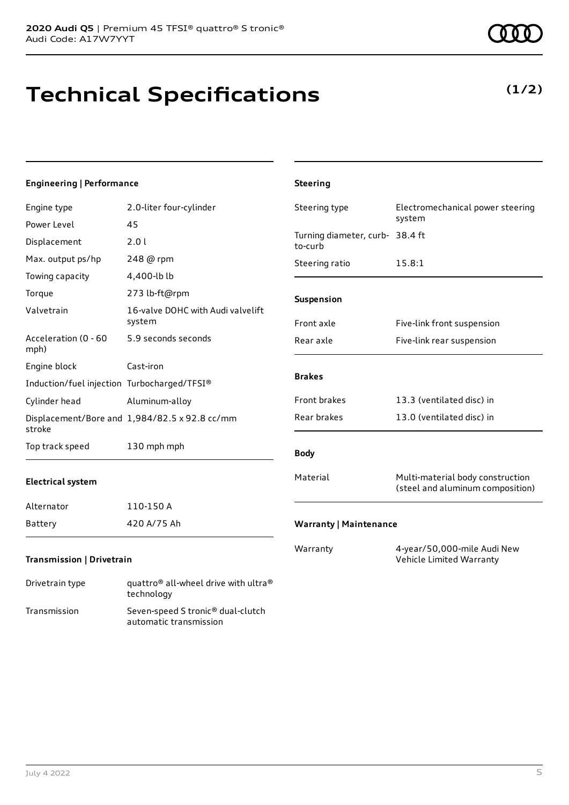# **Technical Specifications**

July 4 2022 5

| <b>Engineering   Performance</b>            |                                               | <b>Steering</b>                            |                                                                      |
|---------------------------------------------|-----------------------------------------------|--------------------------------------------|----------------------------------------------------------------------|
| Engine type                                 | 2.0-liter four-cylinder                       | Steering type                              | Electromechanical power steering                                     |
| Power Level                                 | 45                                            |                                            | system                                                               |
| Displacement                                | 2.01                                          | Turning diameter, curb- 38.4 ft<br>to-curb |                                                                      |
| Max. output ps/hp                           | 248 @ rpm                                     | Steering ratio                             | 15.8:1                                                               |
| Towing capacity                             | 4,400-lb lb                                   |                                            |                                                                      |
| Torque                                      | 273 lb-ft@rpm                                 | Suspension                                 |                                                                      |
| Valvetrain                                  | 16-valve DOHC with Audi valvelift<br>system   | Front axle                                 | Five-link front suspension                                           |
| Acceleration (0 - 60<br>mph)                | 5.9 seconds seconds                           | Rear axle                                  | Five-link rear suspension                                            |
| Engine block                                | Cast-iron                                     |                                            |                                                                      |
| Induction/fuel injection Turbocharged/TFSI® |                                               | <b>Brakes</b>                              |                                                                      |
| Cylinder head                               | Aluminum-alloy                                | Front brakes                               | 13.3 (ventilated disc) in                                            |
| stroke                                      | Displacement/Bore and 1,984/82.5 x 92.8 cc/mm | Rear brakes                                | 13.0 (ventilated disc) in                                            |
| Top track speed                             | 130 mph mph                                   | <b>Body</b>                                |                                                                      |
| <b>Electrical system</b>                    |                                               | Material                                   | Multi-material body construction<br>(steel and aluminum composition) |
| Alternator                                  | 110-150 A                                     |                                            |                                                                      |
| Battery                                     | 420 A/75 Ah                                   | <b>Warranty   Maintenance</b>              |                                                                      |
| Transmission   Drivetrain                   |                                               | Warranty                                   | 4-year/50,000-mile Audi New<br>Vehicle Limited Warranty              |
| Data a basil di basil                       | ® معطان طلائین میشواد امروزان الم ®معطوریت    |                                            |                                                                      |

**(1/2)**

Drivetrain type quattro<sup>®</sup> all-wheel drive with ultra<sup>®</sup> technology Transmission Seven-speed S tronic® dual-clutch automatic transmission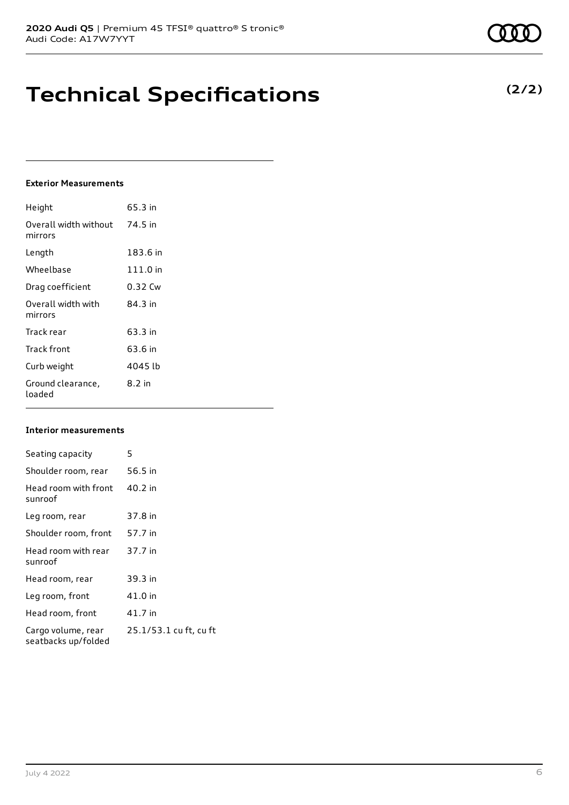## **Technical Specifications**

## **Exterior Measurements**

| Height                           | 65.3 in  |
|----------------------------------|----------|
| Overall width without<br>mirrors | 74.5 in  |
| Length                           | 183.6 in |
| Wheelbase                        | 111.0 in |
| Drag coefficient                 | 0.32 Cw  |
| Overall width with<br>mirrors    | 84 3 in  |
| Track rear                       | 63.3 in  |
| Track front                      | 63.6 in  |
| Curb weight                      | 4045 lb  |
| Ground clearance,<br>loaded      | 8.2 in   |

## **Interior measurements**

| Seating capacity                          | 5                      |
|-------------------------------------------|------------------------|
| Shoulder room, rear                       | 56.5 in                |
| Head room with front<br>sunroof           | 40.2 in                |
| Leg room, rear                            | 37.8 in                |
| Shoulder room, front                      | 57.7 in                |
| Head room with rear<br>sunroof            | 37.7 in                |
| Head room, rear                           | 39.3 in                |
| Leg room, front                           | 41.0 in                |
| Head room, front                          | 41.7 in                |
| Cargo volume, rear<br>seatbacks up/folded | 25.1/53.1 cu ft, cu ft |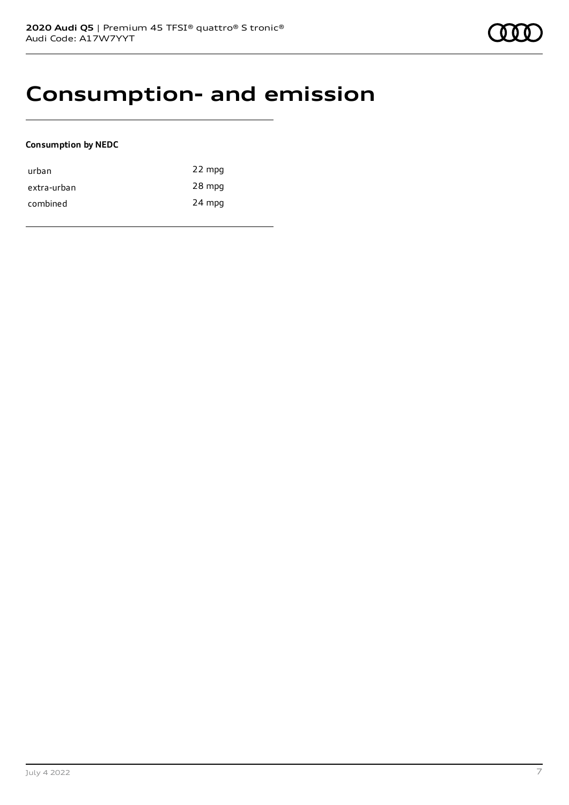## **Consumption- and emission**

## **Consumption by NEDC**

| urban       | 22 mpg |
|-------------|--------|
| extra-urban | 28 mpg |
| combined    | 24 mpg |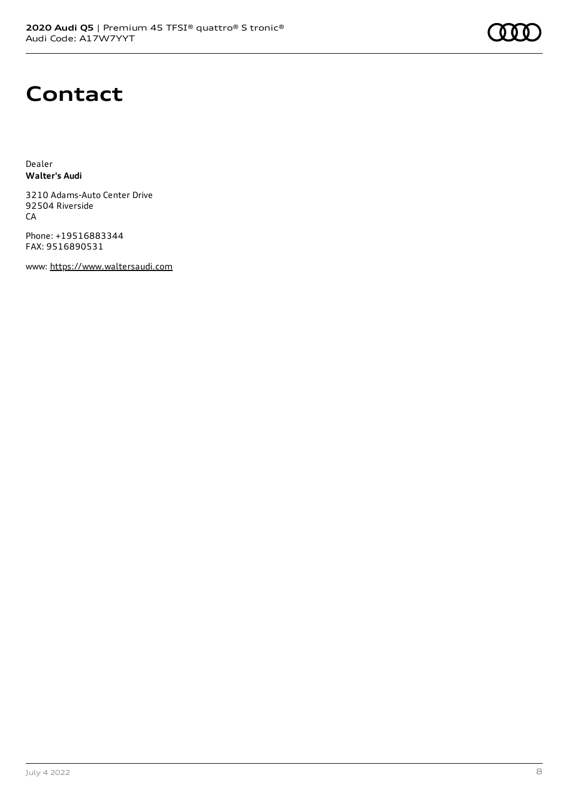# **Contact**

Dealer **Walter's Audi**

3210 Adams-Auto Center Drive 92504 Riverside CA

Phone: +19516883344 FAX: 9516890531

www: [https://www.waltersaudi.com](https://www.waltersaudi.com/)